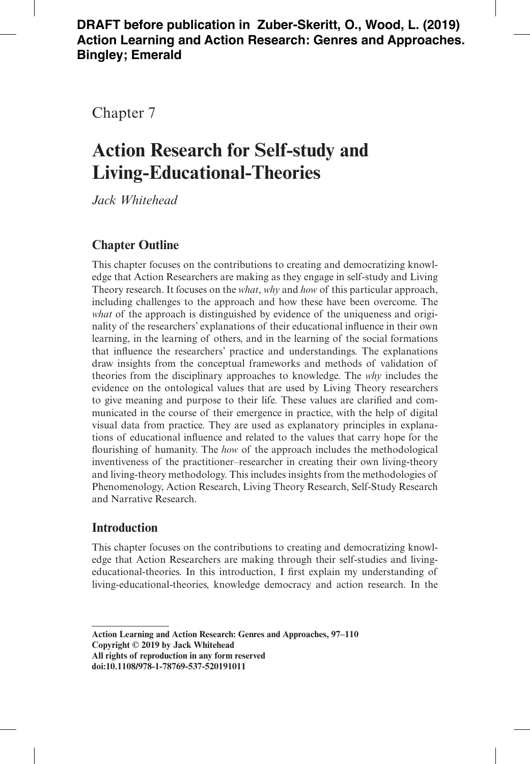# **DRAFT before publication in Zuber-Skeritt, O., Wood, L. (2019) Action Learning and Action Research: Genres and Approaches. Bingley; Emerald**

Chapter 7

# **Action Research for Self-study and Living-Educational-Theories**

*Jack Whitehead*

# **Chapter Outline**

This chapter focuses on the contributions to creating and democratizing knowledge that Action Researchers are making as they engage in self-study and Living Theory research. It focuses on the *what*, *why* and *how* of this particular approach, including challenges to the approach and how these have been overcome. The *what* of the approach is distinguished by evidence of the uniqueness and originality of the researchers' explanations of their educational influence in their own learning, in the learning of others, and in the learning of the social formations that influence the researchers' practice and understandings. The explanations draw insights from the conceptual frameworks and methods of validation of theories from the disciplinary approaches to knowledge. The *why* includes the evidence on the ontological values that are used by Living Theory researchers to give meaning and purpose to their life. These values are clarified and communicated in the course of their emergence in practice, with the help of digital visual data from practice. They are used as explanatory principles in explanations of educational influence and related to the values that carry hope for the flourishing of humanity. The *how* of the approach includes the methodological inventiveness of the practitioner–researcher in creating their own living-theory and living-theory methodology. This includes insights from the methodologies of Phenomenology, Action Research, Living Theory Research, Self-Study Research and Narrative Research.

# **Introduction**

This chapter focuses on the contributions to creating and democratizing knowledge that Action Researchers are making through their self-studies and livingeducational-theories. In this introduction, I first explain my understanding of living-educational-theories, knowledge democracy and action research. In the

**doi:10.1108/978-1-78769-537-520191011**

**Action Learning and Action Research: Genres and Approaches, 97–110 Copyright © 2019 by Jack Whitehead All rights of reproduction in any form reserved**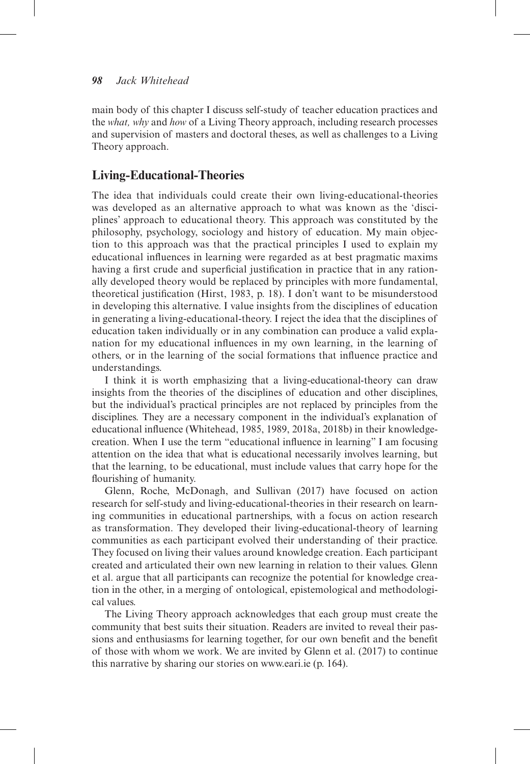main body of this chapter I discuss self-study of teacher education practices and the *what, why* and *how* of a Living Theory approach, including research processes and supervision of masters and doctoral theses, as well as challenges to a Living Theory approach.

# **Living-Educational-Theories**

The idea that individuals could create their own living-educational-theories was developed as an alternative approach to what was known as the 'disciplines' approach to educational theory. This approach was constituted by the philosophy, psychology, sociology and history of education. My main objection to this approach was that the practical principles I used to explain my educational influences in learning were regarded as at best pragmatic maxims having a first crude and superficial justification in practice that in any rationally developed theory would be replaced by principles with more fundamental, theoretical justification (Hirst, 1983, p. 18). I don't want to be misunderstood in developing this alternative. I value insights from the disciplines of education in generating a living-educational-theory. I reject the idea that the disciplines of education taken individually or in any combination can produce a valid explanation for my educational influences in my own learning, in the learning of others, or in the learning of the social formations that influence practice and understandings.

I think it is worth emphasizing that a living-educational-theory can draw insights from the theories of the disciplines of education and other disciplines, but the individual's practical principles are not replaced by principles from the disciplines. They are a necessary component in the individual's explanation of educational influence (Whitehead, 1985, 1989, 2018a, 2018b) in their knowledgecreation. When I use the term "educational influence in learning" I am focusing attention on the idea that what is educational necessarily involves learning, but that the learning, to be educational, must include values that carry hope for the flourishing of humanity.

Glenn, Roche, McDonagh, and Sullivan (2017) have focused on action research for self-study and living-educational-theories in their research on learning communities in educational partnerships, with a focus on action research as transformation. They developed their living-educational-theory of learning communities as each participant evolved their understanding of their practice. They focused on living their values around knowledge creation. Each participant created and articulated their own new learning in relation to their values. Glenn et al. argue that all participants can recognize the potential for knowledge creation in the other, in a merging of ontological, epistemological and methodological values.

The Living Theory approach acknowledges that each group must create the community that best suits their situation. Readers are invited to reveal their passions and enthusiasms for learning together, for our own benefit and the benefit of those with whom we work. We are invited by Glenn et al. (2017) to continue this narrative by sharing our stories on www.eari.ie (p. 164).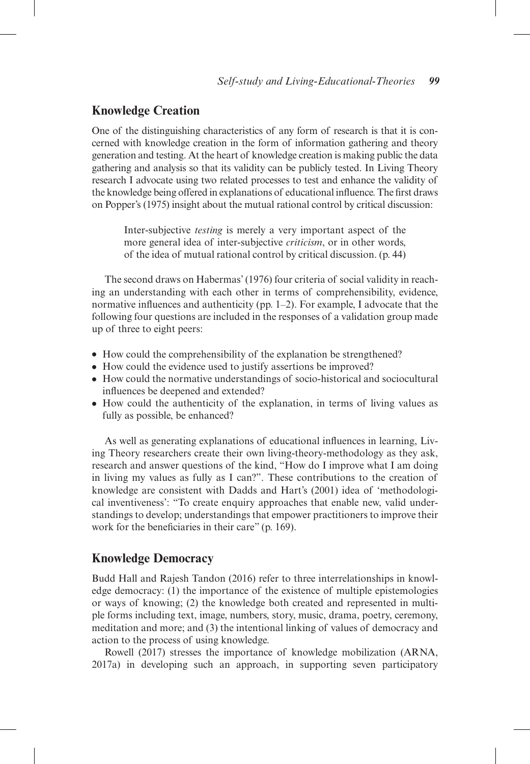# **Knowledge Creation**

One of the distinguishing characteristics of any form of research is that it is concerned with knowledge creation in the form of information gathering and theory generation and testing. At the heart of knowledge creation is making public the data gathering and analysis so that its validity can be publicly tested. In Living Theory research I advocate using two related processes to test and enhance the validity of the knowledge being offered in explanations of educational influence. The first draws on Popper's (1975) insight about the mutual rational control by critical discussion:

Inter-subjective *testing* is merely a very important aspect of the more general idea of inter-subjective *criticism*, or in other words, of the idea of mutual rational control by critical discussion. (p. 44)

The second draws on Habermas' (1976) four criteria of social validity in reaching an understanding with each other in terms of comprehensibility, evidence, normative influences and authenticity (pp. 1–2). For example, I advocate that the following four questions are included in the responses of a validation group made up of three to eight peers:

- ⦁ How could the comprehensibility of the explanation be strengthened?
- ⦁ How could the evidence used to justify assertions be improved?
- ⦁ How could the normative understandings of socio-historical and sociocultural influences be deepened and extended?
- ⦁ How could the authenticity of the explanation, in terms of living values as fully as possible, be enhanced?

As well as generating explanations of educational influences in learning, Living Theory researchers create their own living-theory-methodology as they ask, research and answer questions of the kind, "How do I improve what I am doing in living my values as fully as I can?". These contributions to the creation of knowledge are consistent with Dadds and Hart's (2001) idea of 'methodological inventiveness': "To create enquiry approaches that enable new, valid understandings to develop; understandings that empower practitioners to improve their work for the beneficiaries in their care" (p. 169).

# **Knowledge Democracy**

Budd Hall and Rajesh Tandon (2016) refer to three interrelationships in knowledge democracy: (1) the importance of the existence of multiple epistemologies or ways of knowing; (2) the knowledge both created and represented in multiple forms including text, image, numbers, story, music, drama, poetry, ceremony, meditation and more; and (3) the intentional linking of values of democracy and action to the process of using knowledge.

Rowell (2017) stresses the importance of knowledge mobilization (ARNA, 2017a) in developing such an approach, in supporting seven participatory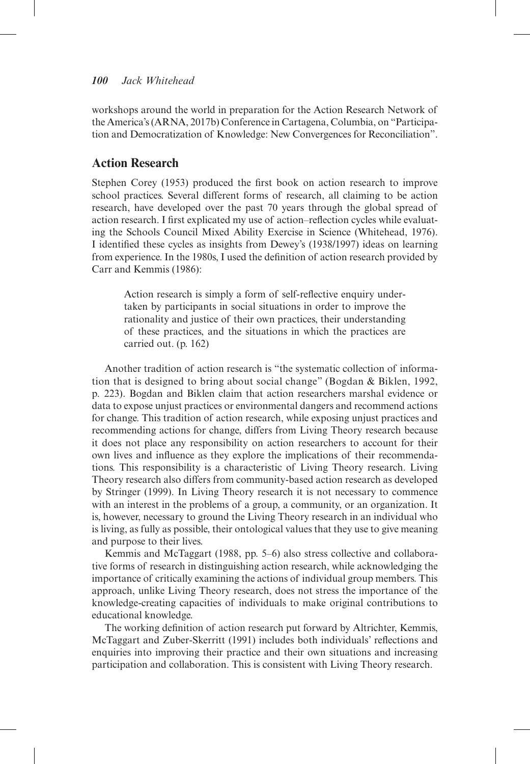workshops around the world in preparation for the Action Research Network of the America's (ARNA, 2017b) Conference in Cartagena, Columbia, on "Participation and Democratization of Knowledge: New Convergences for Reconciliation".

# **Action Research**

Stephen Corey (1953) produced the first book on action research to improve school practices. Several different forms of research, all claiming to be action research, have developed over the past 70 years through the global spread of action research. I first explicated my use of action–reflection cycles while evaluating the Schools Council Mixed Ability Exercise in Science (Whitehead, 1976). I identified these cycles as insights from Dewey's (1938/1997) ideas on learning from experience. In the 1980s, I used the definition of action research provided by Carr and Kemmis (1986):

Action research is simply a form of self-reflective enquiry undertaken by participants in social situations in order to improve the rationality and justice of their own practices, their understanding of these practices, and the situations in which the practices are carried out. (p. 162)

Another tradition of action research is "the systematic collection of information that is designed to bring about social change" (Bogdan & Biklen, 1992, p. 223). Bogdan and Biklen claim that action researchers marshal evidence or data to expose unjust practices or environmental dangers and recommend actions for change. This tradition of action research, while exposing unjust practices and recommending actions for change, differs from Living Theory research because it does not place any responsibility on action researchers to account for their own lives and influence as they explore the implications of their recommendations. This responsibility is a characteristic of Living Theory research. Living Theory research also differs from community-based action research as developed by Stringer (1999). In Living Theory research it is not necessary to commence with an interest in the problems of a group, a community, or an organization. It is, however, necessary to ground the Living Theory research in an individual who is living, as fully as possible, their ontological values that they use to give meaning and purpose to their lives.

Kemmis and McTaggart (1988, pp. 5–6) also stress collective and collaborative forms of research in distinguishing action research, while acknowledging the importance of critically examining the actions of individual group members. This approach, unlike Living Theory research, does not stress the importance of the knowledge-creating capacities of individuals to make original contributions to educational knowledge.

The working definition of action research put forward by Altrichter, Kemmis, McTaggart and Zuber-Skerritt (1991) includes both individuals' reflections and enquiries into improving their practice and their own situations and increasing participation and collaboration. This is consistent with Living Theory research.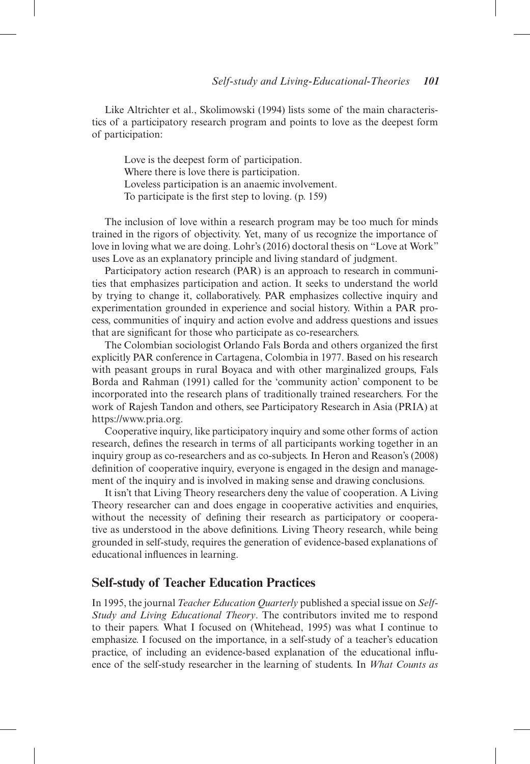Like Altrichter et al., Skolimowski (1994) lists some of the main characteristics of a participatory research program and points to love as the deepest form of participation:

Love is the deepest form of participation. Where there is love there is participation. Loveless participation is an anaemic involvement. To participate is the first step to loving. (p. 159)

The inclusion of love within a research program may be too much for minds trained in the rigors of objectivity. Yet, many of us recognize the importance of love in loving what we are doing. Lohr's (2016) doctoral thesis on "Love at Work" uses Love as an explanatory principle and living standard of judgment.

Participatory action research (PAR) is an approach to research in communities that emphasizes participation and action. It seeks to understand the world by trying to change it, collaboratively. PAR emphasizes collective inquiry and experimentation grounded in experience and social history. Within a PAR process, communities of inquiry and action evolve and address questions and issues that are significant for those who participate as co-researchers.

The Colombian sociologist Orlando Fals Borda and others organized the first explicitly PAR conference in Cartagena, Colombia in 1977. Based on his research with peasant groups in rural Boyaca and with other marginalized groups, Fals Borda and Rahman (1991) called for the 'community action' component to be incorporated into the research plans of traditionally trained researchers. For the work of Rajesh Tandon and others, see Participatory Research in Asia (PRIA) at https://www.pria.org.

Cooperative inquiry, like participatory inquiry and some other forms of action research, defines the research in terms of all participants working together in an inquiry group as co-researchers and as co-subjects. In Heron and Reason's (2008) definition of cooperative inquiry, everyone is engaged in the design and management of the inquiry and is involved in making sense and drawing conclusions.

It isn't that Living Theory researchers deny the value of cooperation. A Living Theory researcher can and does engage in cooperative activities and enquiries, without the necessity of defining their research as participatory or cooperative as understood in the above definitions. Living Theory research, while being grounded in self-study, requires the generation of evidence-based explanations of educational influences in learning.

# **Self-study of Teacher Education Practices**

In 1995, the journal *Teacher Education Quarterly* published a special issue on *Self-Study and Living Educational Theory*. The contributors invited me to respond to their papers. What I focused on (Whitehead, 1995) was what I continue to emphasize. I focused on the importance, in a self-study of a teacher's education practice, of including an evidence-based explanation of the educational influence of the self-study researcher in the learning of students. In *What Counts as*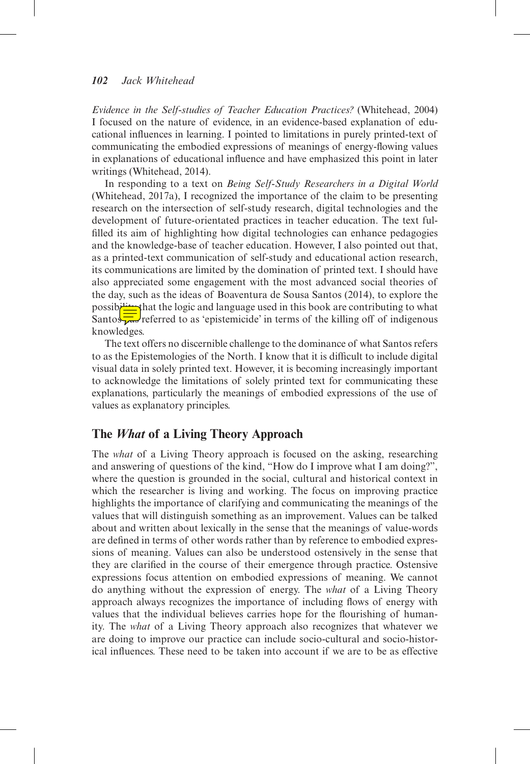*Evidence in the Self-studies of Teacher Education Practices?* (Whitehead, 2004) I focused on the nature of evidence, in an evidence-based explanation of educational influences in learning. I pointed to limitations in purely printed-text of communicating the embodied expressions of meanings of energy-flowing values in explanations of educational influence and have emphasized this point in later writings (Whitehead, 2014).

In responding to a text on *Being Self-Study Researchers in a Digital World* (Whitehead, 2017a), I recognized the importance of the claim to be presenting research on the intersection of self-study research, digital technologies and the development of future-orientated practices in teacher education. The text fulfilled its aim of highlighting how digital technologies can enhance pedagogies and the knowledge-base of teacher education. However, I also pointed out that, as a printed-text communication of self-study and educational action research, its communications are limited by the domination of printed text. I should have also appreciated some engagement with the most advanced social theories of the day, such as the ideas of Boaventura de Sousa Santos (2014), to explore the possibility that the logic and language used in this book are contributing to what Santos referred to as 'epistemicide' in terms of the killing off of indigenous knowledges.

The text offers no discernible challenge to the dominance of what Santos refers to as the Epistemologies of the North. I know that it is difficult to include digital visual data in solely printed text. However, it is becoming increasingly important to acknowledge the limitations of solely printed text for communicating these explanations, particularly the meanings of embodied expressions of the use of values as explanatory principles.

# **The** *What* **of a Living Theory Approach**

The *what* of a Living Theory approach is focused on the asking, researching and answering of questions of the kind, "How do I improve what I am doing?", where the question is grounded in the social, cultural and historical context in which the researcher is living and working. The focus on improving practice highlights the importance of clarifying and communicating the meanings of the values that will distinguish something as an improvement. Values can be talked about and written about lexically in the sense that the meanings of value-words are defined in terms of other words rather than by reference to embodied expressions of meaning. Values can also be understood ostensively in the sense that they are clarified in the course of their emergence through practice. Ostensive expressions focus attention on embodied expressions of meaning. We cannot do anything without the expression of energy. The *what* of a Living Theory approach always recognizes the importance of including flows of energy with values that the individual believes carries hope for the flourishing of humanity. The *what* of a Living Theory approach also recognizes that whatever we are doing to improve our practice can include socio-cultural and socio-historical influences. These need to be taken into account if we are to be as effective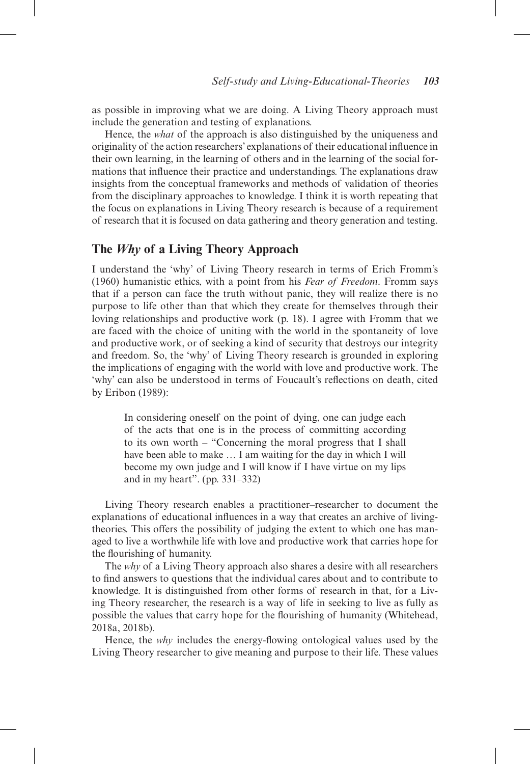as possible in improving what we are doing. A Living Theory approach must include the generation and testing of explanations.

Hence, the *what* of the approach is also distinguished by the uniqueness and originality of the action researchers' explanations of their educational influence in their own learning, in the learning of others and in the learning of the social formations that influence their practice and understandings. The explanations draw insights from the conceptual frameworks and methods of validation of theories from the disciplinary approaches to knowledge. I think it is worth repeating that the focus on explanations in Living Theory research is because of a requirement of research that it is focused on data gathering and theory generation and testing.

## **The** *Why* **of a Living Theory Approach**

I understand the 'why' of Living Theory research in terms of Erich Fromm's (1960) humanistic ethics, with a point from his *Fear of Freedom*. Fromm says that if a person can face the truth without panic, they will realize there is no purpose to life other than that which they create for themselves through their loving relationships and productive work (p. 18). I agree with Fromm that we are faced with the choice of uniting with the world in the spontaneity of love and productive work, or of seeking a kind of security that destroys our integrity and freedom. So, the 'why' of Living Theory research is grounded in exploring the implications of engaging with the world with love and productive work. The 'why' can also be understood in terms of Foucault's reflections on death, cited by Eribon (1989):

In considering oneself on the point of dying, one can judge each of the acts that one is in the process of committing according to its own worth – "Concerning the moral progress that I shall have been able to make … I am waiting for the day in which I will become my own judge and I will know if I have virtue on my lips and in my heart". (pp. 331–332)

Living Theory research enables a practitioner–researcher to document the explanations of educational influences in a way that creates an archive of livingtheories. This offers the possibility of judging the extent to which one has managed to live a worthwhile life with love and productive work that carries hope for the flourishing of humanity.

The *why* of a Living Theory approach also shares a desire with all researchers to find answers to questions that the individual cares about and to contribute to knowledge. It is distinguished from other forms of research in that, for a Living Theory researcher, the research is a way of life in seeking to live as fully as possible the values that carry hope for the flourishing of humanity (Whitehead, 2018a, 2018b).

Hence, the *why* includes the energy-flowing ontological values used by the Living Theory researcher to give meaning and purpose to their life. These values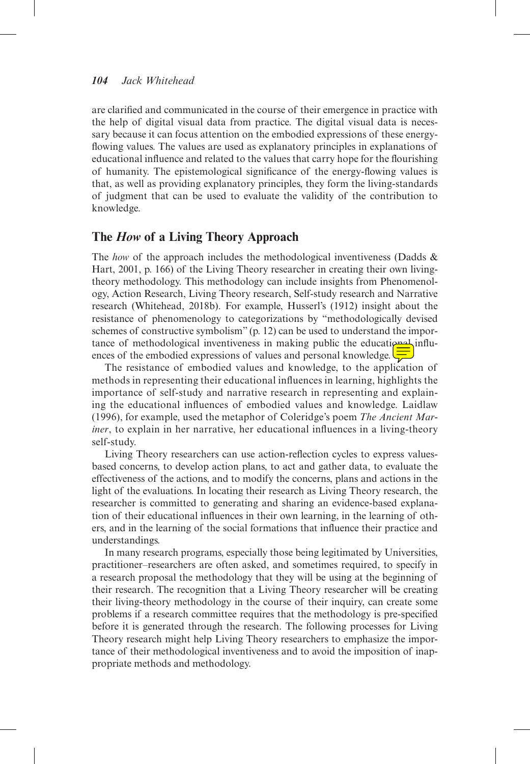are clarified and communicated in the course of their emergence in practice with the help of digital visual data from practice. The digital visual data is necessary because it can focus attention on the embodied expressions of these energyflowing values. The values are used as explanatory principles in explanations of educational influence and related to the values that carry hope for the flourishing of humanity. The epistemological significance of the energy-flowing values is that, as well as providing explanatory principles, they form the living-standards of judgment that can be used to evaluate the validity of the contribution to knowledge.

# **The** *How* **of a Living Theory Approach**

The *how* of the approach includes the methodological inventiveness (Dadds & Hart, 2001, p. 166) of the Living Theory researcher in creating their own livingtheory methodology. This methodology can include insights from Phenomenology, Action Research, Living Theory research, Self-study research and Narrative research (Whitehead, 2018b). For example, Husserl's (1912) insight about the resistance of phenomenology to categorizations by "methodologically devised schemes of constructive symbolism" (p. 12) can be used to understand the importance of methodological inventiveness in making public the educational influences of the embodied expressions of values and personal knowledge.  $\overline{\overline{\mathbf{V}}}$ 

The resistance of embodied values and knowledge, to the application of methods in representing their educational influences in learning, highlights the importance of self-study and narrative research in representing and explaining the educational influences of embodied values and knowledge. Laidlaw (1996), for example, used the metaphor of Coleridge's poem *The Ancient Mariner*, to explain in her narrative, her educational influences in a living-theory self-study.

Living Theory researchers can use action-reflection cycles to express valuesbased concerns, to develop action plans, to act and gather data, to evaluate the effectiveness of the actions, and to modify the concerns, plans and actions in the light of the evaluations. In locating their research as Living Theory research, the researcher is committed to generating and sharing an evidence-based explanation of their educational influences in their own learning, in the learning of others, and in the learning of the social formations that influence their practice and understandings.

In many research programs, especially those being legitimated by Universities, practitioner–researchers are often asked, and sometimes required, to specify in a research proposal the methodology that they will be using at the beginning of their research. The recognition that a Living Theory researcher will be creating their living-theory methodology in the course of their inquiry, can create some problems if a research committee requires that the methodology is pre-specified before it is generated through the research. The following processes for Living Theory research might help Living Theory researchers to emphasize the importance of their methodological inventiveness and to avoid the imposition of inappropriate methods and methodology.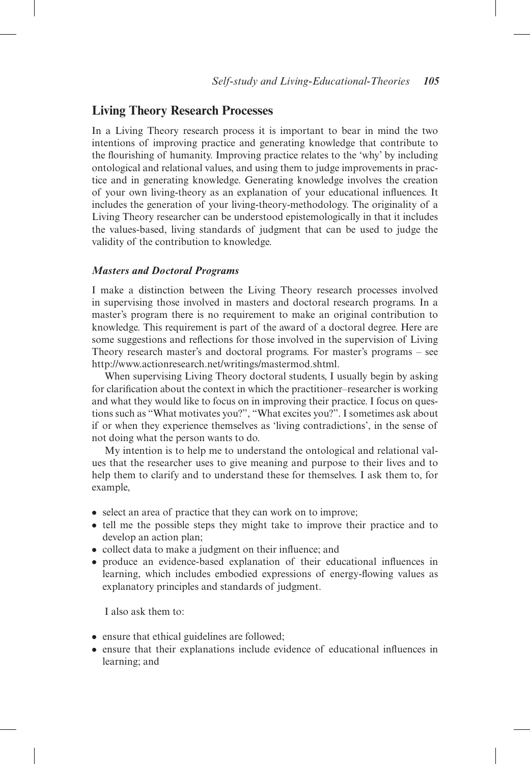## **Living Theory Research Processes**

In a Living Theory research process it is important to bear in mind the two intentions of improving practice and generating knowledge that contribute to the flourishing of humanity. Improving practice relates to the 'why' by including ontological and relational values, and using them to judge improvements in practice and in generating knowledge. Generating knowledge involves the creation of your own living-theory as an explanation of your educational influences. It includes the generation of your living-theory-methodology. The originality of a Living Theory researcher can be understood epistemologically in that it includes the values-based, living standards of judgment that can be used to judge the validity of the contribution to knowledge.

#### *Masters and Doctoral Programs*

I make a distinction between the Living Theory research processes involved in supervising those involved in masters and doctoral research programs. In a master's program there is no requirement to make an original contribution to knowledge. This requirement is part of the award of a doctoral degree. Here are some suggestions and reflections for those involved in the supervision of Living Theory research master's and doctoral programs. For master's programs – see http://www.actionresearch.net/writings/mastermod.shtml.

When supervising Living Theory doctoral students, I usually begin by asking for clarification about the context in which the practitioner–researcher is working and what they would like to focus on in improving their practice. I focus on questions such as "What motivates you?", "What excites you?". I sometimes ask about if or when they experience themselves as 'living contradictions', in the sense of not doing what the person wants to do.

My intention is to help me to understand the ontological and relational values that the researcher uses to give meaning and purpose to their lives and to help them to clarify and to understand these for themselves. I ask them to, for example,

- ⦁ select an area of practice that they can work on to improve;
- ⦁ tell me the possible steps they might take to improve their practice and to develop an action plan;
- ⦁ collect data to make a judgment on their influence; and
- ⦁ produce an evidence-based explanation of their educational influences in learning, which includes embodied expressions of energy-flowing values as explanatory principles and standards of judgment.

I also ask them to:

- ⦁ ensure that ethical guidelines are followed;
- ⦁ ensure that their explanations include evidence of educational influences in learning; and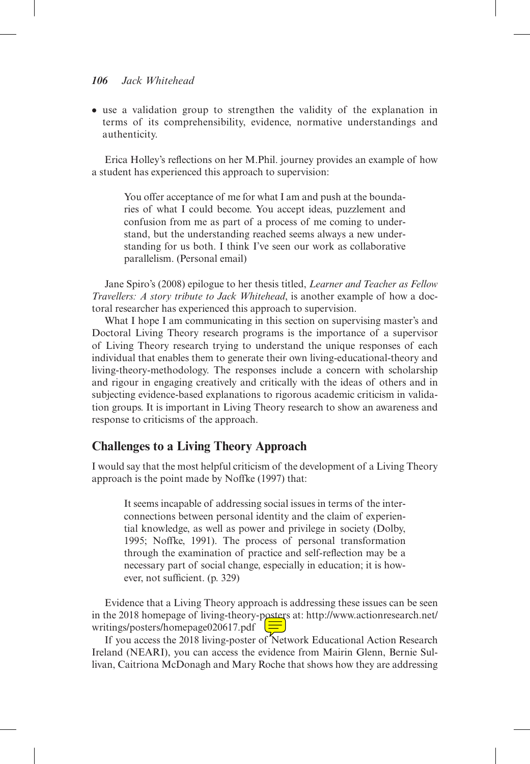⦁ use a validation group to strengthen the validity of the explanation in terms of its comprehensibility, evidence, normative understandings and authenticity.

Erica Holley's reflections on her M.Phil. journey provides an example of how a student has experienced this approach to supervision:

You offer acceptance of me for what I am and push at the boundaries of what I could become. You accept ideas, puzzlement and confusion from me as part of a process of me coming to understand, but the understanding reached seems always a new understanding for us both. I think I've seen our work as collaborative parallelism. (Personal email)

Jane Spiro's (2008) epilogue to her thesis titled, *Learner and Teacher as Fellow Travellers: A story tribute to Jack Whitehead*, is another example of how a doctoral researcher has experienced this approach to supervision.

What I hope I am communicating in this section on supervising master's and Doctoral Living Theory research programs is the importance of a supervisor of Living Theory research trying to understand the unique responses of each individual that enables them to generate their own living-educational-theory and living-theory-methodology. The responses include a concern with scholarship and rigour in engaging creatively and critically with the ideas of others and in subjecting evidence-based explanations to rigorous academic criticism in validation groups. It is important in Living Theory research to show an awareness and response to criticisms of the approach.

# **Challenges to a Living Theory Approach**

I would say that the most helpful criticism of the development of a Living Theory approach is the point made by Noffke (1997) that:

It seems incapable of addressing social issues in terms of the interconnections between personal identity and the claim of experiential knowledge, as well as power and privilege in society (Dolby, 1995; Noffke, 1991). The process of personal transformation through the examination of practice and self-reflection may be a necessary part of social change, especially in education; it is however, not sufficient. (p. 329)

Evidence that a Living Theory approach is addressing these issues can be seen in the 2018 homepage of living-theory-posters at: http://www.actionresearch.net/ writings/posters/homepage020617.pdf  $\Box$ 

If you access the 2018 living-poster of Network Educational Action Research Ireland (NEARI), you can access the evidence from Mairin Glenn, Bernie Sullivan, Caitriona McDonagh and Mary Roche that shows how they are addressing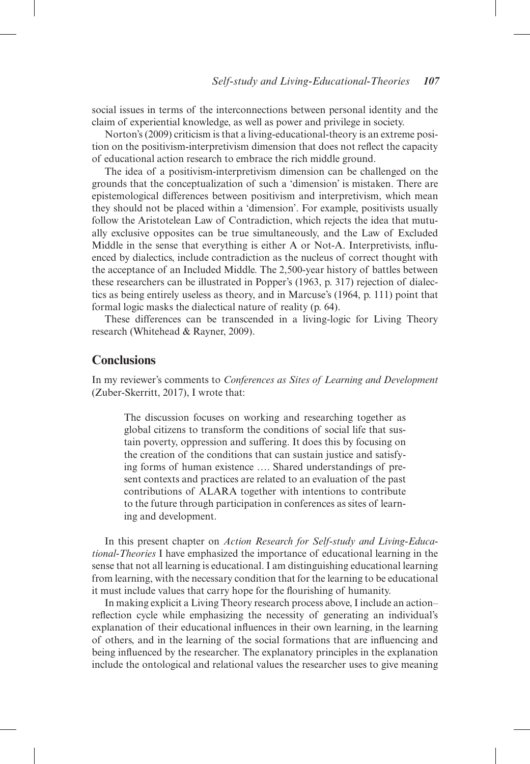social issues in terms of the interconnections between personal identity and the claim of experiential knowledge, as well as power and privilege in society.

Norton's (2009) criticism is that a living-educational-theory is an extreme position on the positivism-interpretivism dimension that does not reflect the capacity of educational action research to embrace the rich middle ground.

The idea of a positivism-interpretivism dimension can be challenged on the grounds that the conceptualization of such a 'dimension' is mistaken. There are epistemological differences between positivism and interpretivism, which mean they should not be placed within a 'dimension'. For example, positivists usually follow the Aristotelean Law of Contradiction, which rejects the idea that mutually exclusive opposites can be true simultaneously, and the Law of Excluded Middle in the sense that everything is either A or Not-A. Interpretivists, influenced by dialectics, include contradiction as the nucleus of correct thought with the acceptance of an Included Middle. The 2,500-year history of battles between these researchers can be illustrated in Popper's (1963, p. 317) rejection of dialectics as being entirely useless as theory, and in Marcuse's (1964, p. 111) point that formal logic masks the dialectical nature of reality (p. 64).

These differences can be transcended in a living-logic for Living Theory research (Whitehead & Rayner, 2009).

### **Conclusions**

In my reviewer's comments to *Conferences as Sites of Learning and Development* (Zuber-Skerritt, 2017), I wrote that:

The discussion focuses on working and researching together as global citizens to transform the conditions of social life that sustain poverty, oppression and suffering. It does this by focusing on the creation of the conditions that can sustain justice and satisfying forms of human existence …. Shared understandings of present contexts and practices are related to an evaluation of the past contributions of ALARA together with intentions to contribute to the future through participation in conferences as sites of learning and development.

In this present chapter on *Action Research for Self-study and Living-Educational-Theories* I have emphasized the importance of educational learning in the sense that not all learning is educational. I am distinguishing educational learning from learning, with the necessary condition that for the learning to be educational it must include values that carry hope for the flourishing of humanity.

In making explicit a Living Theory research process above, I include an action– reflection cycle while emphasizing the necessity of generating an individual's explanation of their educational influences in their own learning, in the learning of others, and in the learning of the social formations that are influencing and being influenced by the researcher. The explanatory principles in the explanation include the ontological and relational values the researcher uses to give meaning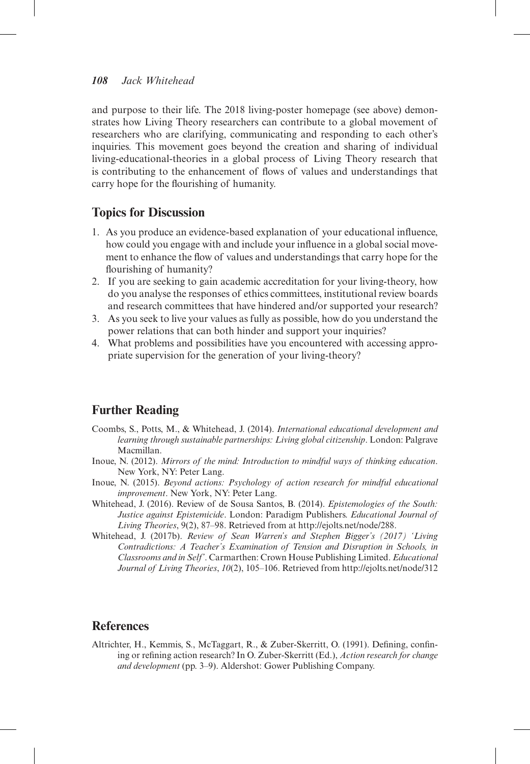and purpose to their life. The 2018 living-poster homepage (see above) demonstrates how Living Theory researchers can contribute to a global movement of researchers who are clarifying, communicating and responding to each other's inquiries. This movement goes beyond the creation and sharing of individual living-educational-theories in a global process of Living Theory research that is contributing to the enhancement of flows of values and understandings that carry hope for the flourishing of humanity.

# **Topics for Discussion**

- 1. As you produce an evidence-based explanation of your educational influence, how could you engage with and include your influence in a global social movement to enhance the flow of values and understandings that carry hope for the flourishing of humanity?
- 2. If you are seeking to gain academic accreditation for your living-theory, how do you analyse the responses of ethics committees, institutional review boards and research committees that have hindered and/or supported your research?
- 3. As you seek to live your values as fully as possible, how do you understand the power relations that can both hinder and support your inquiries?
- 4. What problems and possibilities have you encountered with accessing appropriate supervision for the generation of your living-theory?

# **Further Reading**

- Coombs, S., Potts, M., & Whitehead, J. (2014). *International educational development and learning through sustainable partnerships: Living global citizenship*. London: Palgrave Macmillan.
- Inoue, N. (2012). *Mirrors of the mind: Introduction to mindful ways of thinking education*. New York, NY: Peter Lang.
- Inoue, N. (2015). *Beyond actions: Psychology of action research for mindful educational improvement*. New York, NY: Peter Lang.
- Whitehead, J. (2016). Review of de Sousa Santos, B. (2014). *Epistemologies of the South: Justice against Epistemicide*. London: Paradigm Publishers. *Educational Journal of Living Theories*, 9(2), 87–98. Retrieved from at http://ejolts.net/node/288.
- Whitehead, J. (2017b). *Review of Sean Warren's and Stephen Bigger's (2017) 'Living Contradictions: A Teacher's Examination of Tension and Disruption in Schools, in Classrooms and in Self'*. Carmarthen: Crown House Publishing Limited. *Educational Journal of Living Theories*, *10*(2), 105–106. Retrieved from http://ejolts.net/node/312

# **References**

Altrichter, H., Kemmis, S., McTaggart, R., & Zuber-Skerritt, O. (1991). Defining, confining or refining action research? In O. Zuber-Skerritt (Ed.), *Action research for change and development* (pp. 3–9). Aldershot: Gower Publishing Company.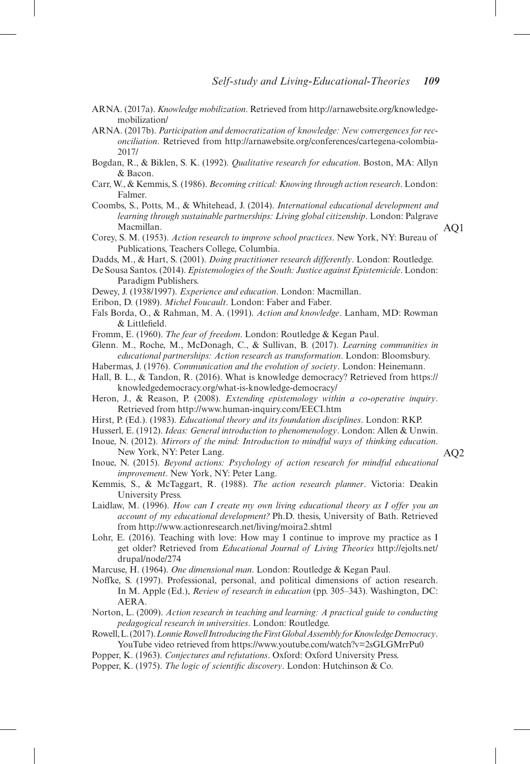- ARNA. (2017a). *Knowledge mobilization*. Retrieved from http://arnawebsite.org/knowledgemobilization/
- ARNA. (2017b). *Participation and democratization of knowledge: New convergences for reconciliation*. Retrieved from http://arnawebsite.org/conferences/cartegena-colombia-2017/
- Bogdan, R., & Biklen, S. K. (1992). *Qualitative research for education*. Boston, MA: Allyn & Bacon.
- Carr, W., & Kemmis, S. (1986). *Becoming critical: Knowing through action research*. London: Falmer.
- Coombs, S., Potts, M., & Whitehead, J. (2014). *International educational development and learning through sustainable partnerships: Living global citizenship*. London: Palgrave Macmillan.

AQ1

- Corey, S. M. (1953). *Action research to improve school practices*. New York, NY: Bureau of Publications, Teachers College, Columbia.
- Dadds, M., & Hart, S. (2001). *Doing practitioner research differently*. London: Routledge.
- De Sousa Santos. (2014). *Epistemologies of the South: Justice against Epistemicide*. London: Paradigm Publishers.
- Dewey, J. (1938/1997). *Experience and education*. London: Macmillan.
- Eribon, D. (1989). *Michel Foucault*. London: Faber and Faber.
- Fals Borda, O., & Rahman, M. A. (1991). *Action and knowledge*. Lanham, MD: Rowman & Littlefield.
- Fromm, E. (1960). *The fear of freedom*. London: Routledge & Kegan Paul.
- Glenn. M., Roche, M., McDonagh, C., & Sullivan, B. (2017). *Learning communities in educational partnerships: Action research as transformation*. London: Bloomsbury.
- Habermas, J. (1976). *Communication and the evolution of society*. London: Heinemann.
- Hall, B. L., & Tandon, R. (2016). What is knowledge democracy? Retrieved from https:// knowledgedemocracy.org/what-is-knowledge-democracy/
- Heron, J., & Reason, P. (2008). *Extending epistemology within a co-operative inquiry*. Retrieved from http://www.human-inquiry.com/EECI.htm
- Hirst, P. (Ed.). (1983). *Educational theory and its foundation disciplines*. London: RKP.

Husserl, E. (1912). *Ideas: General introduction to phenomenology*. London: Allen & Unwin.

- Inoue, N. (2012). *Mirrors of the mind: Introduction to mindful ways of thinking education*. New York, NY: Peter Lang. AQ2
- Inoue, N. (2015). *Beyond actions: Psychology of action research for mindful educational improvement*. New York, NY: Peter Lang.
- Kemmis, S., & McTaggart, R. (1988). *The action research planner*. Victoria: Deakin University Press.
- Laidlaw, M. (1996). *How can I create my own living educational theory as I offer you an account of my educational development?* Ph.D. thesis, University of Bath. Retrieved from http://www.actionresearch.net/living/moira2.shtml
- Lohr, E. (2016). Teaching with love: How may I continue to improve my practice as I get older? Retrieved from *Educational Journal of Living Theories* http://ejolts.net/ drupal/node/274
- Marcuse, H. (1964). *One dimensional man*. London: Routledge & Kegan Paul.
- Noffke, S. (1997). Professional, personal, and political dimensions of action research. In M. Apple (Ed.), *Review of research in education* (pp. 305–343). Washington, DC: AERA.
- Norton, L. (2009). *Action research in teaching and learning: A practical guide to conducting pedagogical research in universities*. London: Routledge.
- Rowell, L. (2017). *Lonnie Rowell Introducing the First Global Assembly for Knowledge Democracy*. YouTube video retrieved from https://www.youtube.com/watch?v=2sGLGMrrPu0
- Popper, K. (1963). *Conjectures and refutations*. Oxford: Oxford University Press.
- Popper, K. (1975). *The logic of scientific discovery*. London: Hutchinson & Co.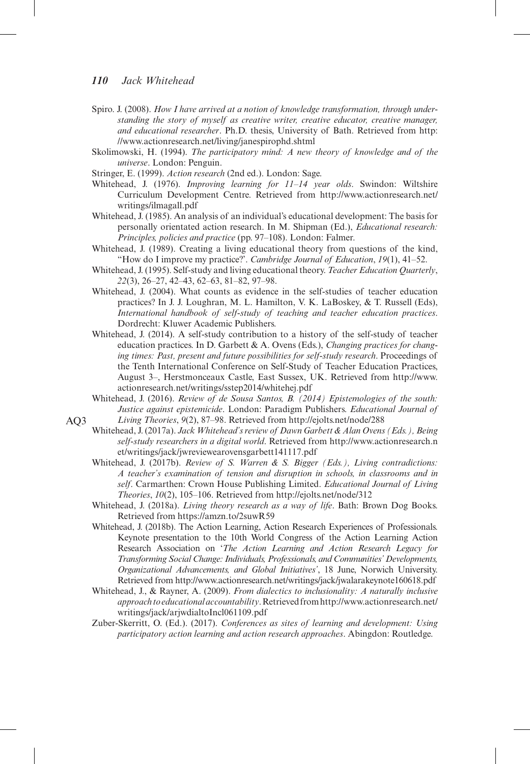- Spiro. J. (2008). *How I have arrived at a notion of knowledge transformation, through understanding the story of myself as creative writer, creative educator, creative manager, and educational researcher*. Ph.D. thesis, University of Bath. Retrieved from http: //www.actionresearch.net/living/janespirophd.shtml
- Skolimowski, H. (1994). *The participatory mind: A new theory of knowledge and of the universe*. London: Penguin.
- Stringer, E. (1999). *Action research* (2nd ed.). London: Sage.
- Whitehead, J. (1976). *Improving learning for 11–14 year olds*. Swindon: Wiltshire Curriculum Development Centre. Retrieved from http://www.actionresearch.net/ writings/ilmagall.pdf
- Whitehead, J. (1985). An analysis of an individual's educational development: The basis for personally orientated action research. In M. Shipman (Ed.), *Educational research: Principles, policies and practice* (pp. 97–108). London: Falmer.
- Whitehead, J. (1989). Creating a living educational theory from questions of the kind, "How do I improve my practice?'. *Cambridge Journal of Education*, *19*(1), 41–52.
- Whitehead, J. (1995). Self-study and living educational theory. *Teacher Education Quarterly*, *22*(3), 26–27, 42–43, 62–63, 81–82, 97–98.
- Whitehead, J. (2004). What counts as evidence in the self-studies of teacher education practices? In J. J. Loughran, M. L. Hamilton, V. K. LaBoskey, & T. Russell (Eds), *International handbook of self-study of teaching and teacher education practices*. Dordrecht: Kluwer Academic Publishers.
- Whitehead, J. (2014). A self-study contribution to a history of the self-study of teacher education practices. In D. Garbett & A. Ovens (Eds.), *Changing practices for changing times: Past, present and future possibilities for self-study research*. Proceedings of the Tenth International Conference on Self-Study of Teacher Education Practices, August 3–, Herstmonceaux Castle, East Sussex, UK. Retrieved from http://www. actionresearch.net/writings/sstep2014/whitehej.pdf
- Whitehead, J. (2016). *Review of de Sousa Santos, B. (2014) Epistemologies of the south: Justice against epistemicide*. London: Paradigm Publishers. *Educational Journal of Living Theories*, *9*(2), 87–98. Retrieved from http://ejolts.net/node/288
- Whitehead, J. (2017a). *Jack Whitehead's review of Dawn Garbett & Alan Ovens (Eds.), Being self-study researchers in a digital world*. Retrieved from http://www.actionresearch.n et/writings/jack/jwreviewearovensgarbett141117.pdf
- Whitehead, J. (2017b). *Review of S. Warren & S. Bigger (Eds.), Living contradictions: A teacher's examination of tension and disruption in schools, in classrooms and in self*. Carmarthen: Crown House Publishing Limited. *Educational Journal of Living Theories*, *10*(2), 105–106. Retrieved from http://ejolts.net/node/312
- Whitehead, J. (2018a). *Living theory research as a way of life*. Bath: Brown Dog Books. Retrieved from https://amzn.to/2suwR59
- Whitehead, J. (2018b). The Action Learning, Action Research Experiences of Professionals. Keynote presentation to the 10th World Congress of the Action Learning Action Research Association on '*The Action Learning and Action Research Legacy for Transforming Social Change: Individuals, Professionals, and Communities' Developments, Organizational Advancements, and Global Initiatives'*, 18 June, Norwich University. Retrieved from http://www.actionresearch.net/writings/jack/jwalarakeynote160618.pdf
- Whitehead, J., & Rayner, A. (2009). *From dialectics to inclusionality: A naturally inclusive approach to educational accountability*. Retrieved from http://www.actionresearch.net/ writings/jack/arjwdialtoIncl061109.pdf
- Zuber-Skerritt, O. (Ed.). (2017). *Conferences as sites of learning and development: Using participatory action learning and action research approaches*. Abingdon: Routledge.

AQ3